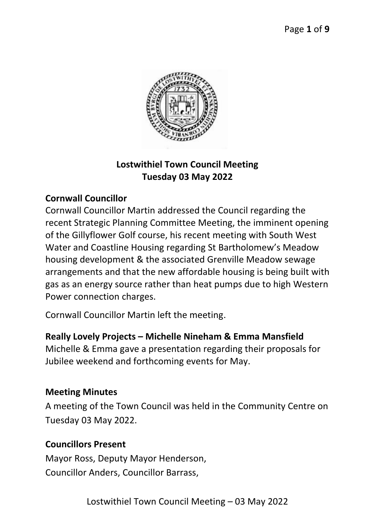

# **Lostwithiel Town Council Meeting Tuesday 03 May 2022**

## **Cornwall Councillor**

Cornwall Councillor Martin addressed the Council regarding the recent Strategic Planning Committee Meeting, the imminent opening of the Gillyflower Golf course, his recent meeting with South West Water and Coastline Housing regarding St Bartholomew's Meadow housing development & the associated Grenville Meadow sewage arrangements and that the new affordable housing is being built with gas as an energy source rather than heat pumps due to high Western Power connection charges.

Cornwall Councillor Martin left the meeting.

### **Really Lovely Projects – Michelle Nineham & Emma Mansfield**

Michelle & Emma gave a presentation regarding their proposals for Jubilee weekend and forthcoming events for May.

#### **Meeting Minutes**

A meeting of the Town Council was held in the Community Centre on Tuesday 03 May 2022.

### **Councillors Present**

Mayor Ross, Deputy Mayor Henderson, Councillor Anders, Councillor Barrass,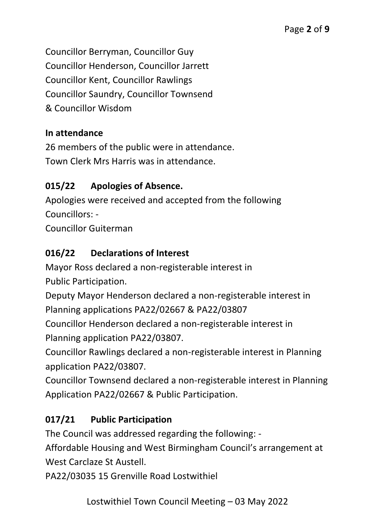Councillor Berryman, Councillor Guy Councillor Henderson, Councillor Jarrett Councillor Kent, Councillor Rawlings Councillor Saundry, Councillor Townsend & Councillor Wisdom

### **In attendance**

26 members of the public were in attendance. Town Clerk Mrs Harris was in attendance.

### **015/22 Apologies of Absence.**

Apologies were received and accepted from the following Councillors: -

Councillor Guiterman

### **016/22 Declarations of Interest**

Mayor Ross declared a non-registerable interest in Public Participation.

Deputy Mayor Henderson declared a non-registerable interest in Planning applications PA22/02667 & PA22/03807

Councillor Henderson declared a non-registerable interest in Planning application PA22/03807.

Councillor Rawlings declared a non-registerable interest in Planning application PA22/03807.

Councillor Townsend declared a non-registerable interest in Planning Application PA22/02667 & Public Participation.

## **017/21 Public Participation**

The Council was addressed regarding the following: -

Affordable Housing and West Birmingham Council's arrangement at West Carclaze St Austell.

PA22/03035 15 Grenville Road Lostwithiel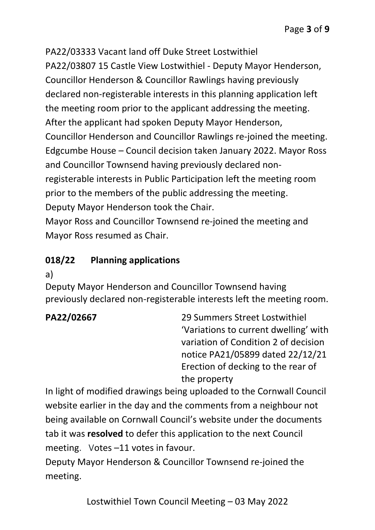PA22/03333 Vacant land off Duke Street Lostwithiel PA22/03807 15 Castle View Lostwithiel - Deputy Mayor Henderson, Councillor Henderson & Councillor Rawlings having previously declared non-registerable interests in this planning application left the meeting room prior to the applicant addressing the meeting. After the applicant had spoken Deputy Mayor Henderson, Councillor Henderson and Councillor Rawlings re-joined the meeting. Edgcumbe House – Council decision taken January 2022. Mayor Ross and Councillor Townsend having previously declared nonregisterable interests in Public Participation left the meeting room prior to the members of the public addressing the meeting. Deputy Mayor Henderson took the Chair.

Mayor Ross and Councillor Townsend re-joined the meeting and Mayor Ross resumed as Chair.

## **018/22 Planning applications**

a)

Deputy Mayor Henderson and Councillor Townsend having previously declared non-registerable interests left the meeting room.

**PA22/02667** 29 Summers Street Lostwithiel 'Variations to current dwelling' with variation of Condition 2 of decision notice PA21/05899 dated 22/12/21 Erection of decking to the rear of the property

In light of modified drawings being uploaded to the Cornwall Council website earlier in the day and the comments from a neighbour not being available on Cornwall Council's website under the documents tab it was **resolved** to defer this application to the next Council meeting. Votes –11 votes in favour.

Deputy Mayor Henderson & Councillor Townsend re-joined the meeting.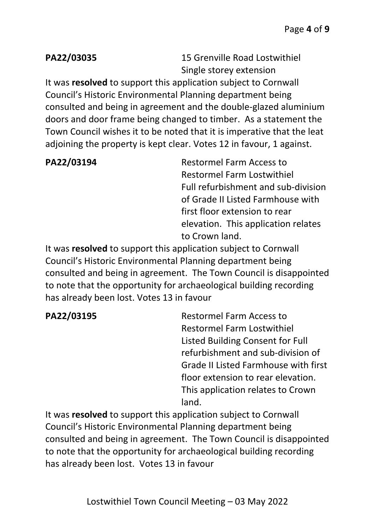**PA22/03035** 15 Grenville Road Lostwithiel Single storey extension

It was **resolved** to support this application subject to Cornwall Council's Historic Environmental Planning department being consulted and being in agreement and the double-glazed aluminium doors and door frame being changed to timber. As a statement the Town Council wishes it to be noted that it is imperative that the leat adjoining the property is kept clear. Votes 12 in favour, 1 against.

**PA22/03194** Restormel Farm Access to Restormel Farm Lostwithiel Full refurbishment and sub-division of Grade II Listed Farmhouse with first floor extension to rear elevation. This application relates to Crown land.

It was **resolved** to support this application subject to Cornwall Council's Historic Environmental Planning department being consulted and being in agreement. The Town Council is disappointed to note that the opportunity for archaeological building recording has already been lost. Votes 13 in favour

**PA22/03195** Restormel Farm Access to Restormel Farm Lostwithiel Listed Building Consent for Full refurbishment and sub-division of Grade II Listed Farmhouse with first floor extension to rear elevation. This application relates to Crown land.

It was **resolved** to support this application subject to Cornwall Council's Historic Environmental Planning department being consulted and being in agreement. The Town Council is disappointed to note that the opportunity for archaeological building recording has already been lost. Votes 13 in favour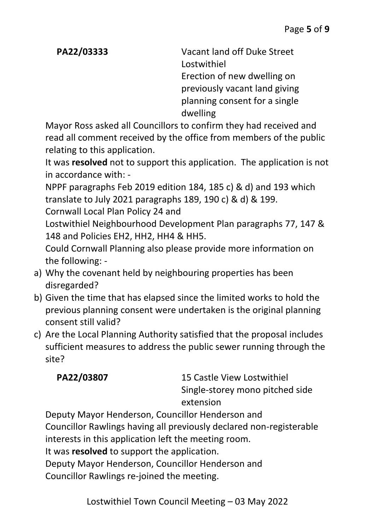**PA22/03333** Vacant land off Duke Street Lostwithiel Erection of new dwelling on previously vacant land giving planning consent for a single dwelling

Mayor Ross asked all Councillors to confirm they had received and read all comment received by the office from members of the public relating to this application.

It was **resolved** not to support this application. The application is not in accordance with: -

NPPF paragraphs Feb 2019 edition 184, 185 c) & d) and 193 which translate to July 2021 paragraphs 189, 190 c) & d) & 199.

Cornwall Local Plan Policy 24 and

Lostwithiel Neighbourhood Development Plan paragraphs 77, 147 & 148 and Policies EH2, HH2, HH4 & HH5.

Could Cornwall Planning also please provide more information on the following: -

- a) Why the covenant held by neighbouring properties has been disregarded?
- b) Given the time that has elapsed since the limited works to hold the previous planning consent were undertaken is the original planning consent still valid?
- c) Are the Local Planning Authority satisfied that the proposal includes sufficient measures to address the public sewer running through the site?

**PA22/03807** 15 Castle View Lostwithiel Single-storey mono pitched side extension

Deputy Mayor Henderson, Councillor Henderson and Councillor Rawlings having all previously declared non-registerable interests in this application left the meeting room. It was **resolved** to support the application. Deputy Mayor Henderson, Councillor Henderson and Councillor Rawlings re-joined the meeting.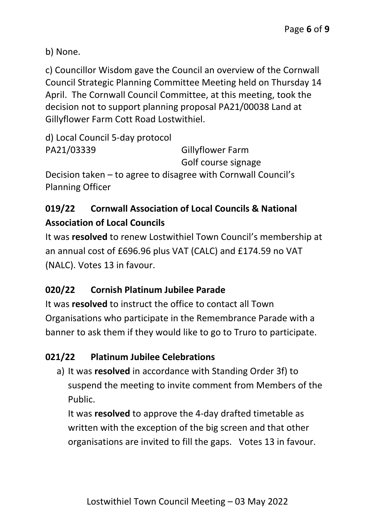b) None.

c) Councillor Wisdom gave the Council an overview of the Cornwall Council Strategic Planning Committee Meeting held on Thursday 14 April. The Cornwall Council Committee, at this meeting, took the decision not to support planning proposal PA21/00038 Land at Gillyflower Farm Cott Road Lostwithiel.

```
d) Local Council 5-day protocol
PA21/03339 Gillyflower Farm
                             Golf course signage
Decision taken – to agree to disagree with Cornwall Council's 
Planning Officer
```
# **019/22 Cornwall Association of Local Councils & National Association of Local Councils**

It was **resolved** to renew Lostwithiel Town Council's membership at an annual cost of £696.96 plus VAT (CALC) and £174.59 no VAT (NALC). Votes 13 in favour.

# **020/22 Cornish Platinum Jubilee Parade**

It was **resolved** to instruct the office to contact all Town Organisations who participate in the Remembrance Parade with a banner to ask them if they would like to go to Truro to participate.

# **021/22 Platinum Jubilee Celebrations**

a) It was **resolved** in accordance with Standing Order 3f) to suspend the meeting to invite comment from Members of the Public.

It was **resolved** to approve the 4-day drafted timetable as written with the exception of the big screen and that other organisations are invited to fill the gaps. Votes 13 in favour.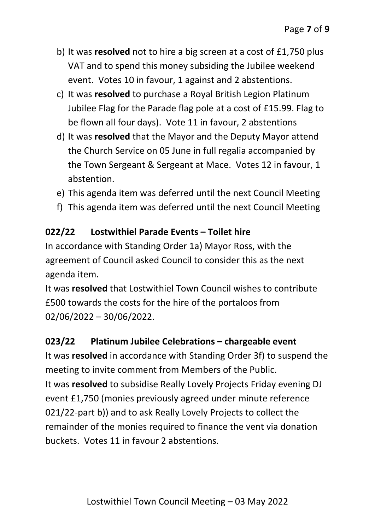- b) It was **resolved** not to hire a big screen at a cost of £1,750 plus VAT and to spend this money subsiding the Jubilee weekend event. Votes 10 in favour, 1 against and 2 abstentions.
- c) It was **resolved** to purchase a Royal British Legion Platinum Jubilee Flag for the Parade flag pole at a cost of £15.99. Flag to be flown all four days). Vote 11 in favour, 2 abstentions
- d) It was **resolved** that the Mayor and the Deputy Mayor attend the Church Service on 05 June in full regalia accompanied by the Town Sergeant & Sergeant at Mace. Votes 12 in favour, 1 abstention.
- e) This agenda item was deferred until the next Council Meeting
- f) This agenda item was deferred until the next Council Meeting

## **022/22 Lostwithiel Parade Events – Toilet hire**

In accordance with Standing Order 1a) Mayor Ross, with the agreement of Council asked Council to consider this as the next agenda item.

It was **resolved** that Lostwithiel Town Council wishes to contribute £500 towards the costs for the hire of the portaloos from 02/06/2022 – 30/06/2022.

## **023/22 Platinum Jubilee Celebrations – chargeable event**

It was **resolved** in accordance with Standing Order 3f) to suspend the meeting to invite comment from Members of the Public. It was **resolved** to subsidise Really Lovely Projects Friday evening DJ event £1,750 (monies previously agreed under minute reference 021/22-part b)) and to ask Really Lovely Projects to collect the remainder of the monies required to finance the vent via donation buckets. Votes 11 in favour 2 abstentions.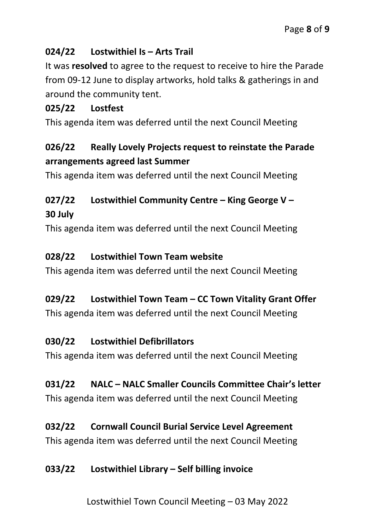## **024/22 Lostwithiel Is – Arts Trail**

It was **resolved** to agree to the request to receive to hire the Parade from 09-12 June to display artworks, hold talks & gatherings in and around the community tent.

## **025/22 Lostfest**

This agenda item was deferred until the next Council Meeting

# **026/22 Really Lovely Projects request to reinstate the Parade arrangements agreed last Summer**

This agenda item was deferred until the next Council Meeting

# **027/22 Lostwithiel Community Centre – King George V – 30 July**

This agenda item was deferred until the next Council Meeting

## **028/22 Lostwithiel Town Team website**

This agenda item was deferred until the next Council Meeting

## **029/22 Lostwithiel Town Team – CC Town Vitality Grant Offer**

This agenda item was deferred until the next Council Meeting

# **030/22 Lostwithiel Defibrillators**

This agenda item was deferred until the next Council Meeting

# **031/22 NALC – NALC Smaller Councils Committee Chair's letter**

This agenda item was deferred until the next Council Meeting

# **032/22 Cornwall Council Burial Service Level Agreement**

This agenda item was deferred until the next Council Meeting

# **033/22 Lostwithiel Library – Self billing invoice**

Lostwithiel Town Council Meeting – 03 May 2022